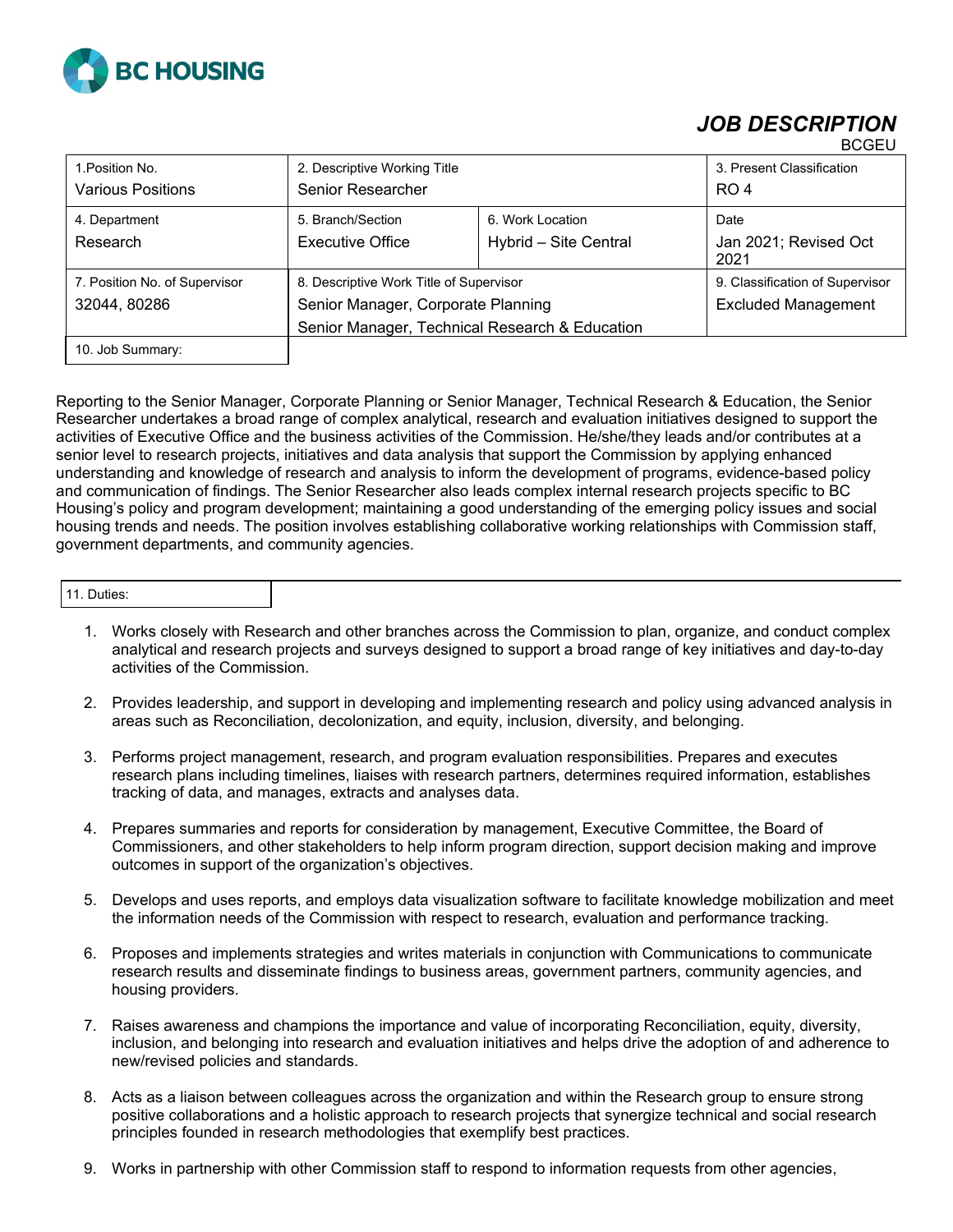

## *JOB DESCRIPTION*

|                               |                                                |                       | ----                            |
|-------------------------------|------------------------------------------------|-----------------------|---------------------------------|
| 1. Position No.               | 2. Descriptive Working Title                   |                       | 3. Present Classification       |
| <b>Various Positions</b>      | Senior Researcher                              |                       | RO <sub>4</sub>                 |
| 4. Department                 | 5. Branch/Section                              | 6. Work Location      | Date                            |
| Research                      | <b>Executive Office</b>                        | Hybrid - Site Central | Jan 2021; Revised Oct<br>2021   |
| 7. Position No. of Supervisor | 8. Descriptive Work Title of Supervisor        |                       | 9. Classification of Supervisor |
| 32044, 80286                  | Senior Manager, Corporate Planning             |                       | <b>Excluded Management</b>      |
|                               | Senior Manager, Technical Research & Education |                       |                                 |
| 10. Job Summary:              |                                                |                       |                                 |

Reporting to the Senior Manager, Corporate Planning or Senior Manager, Technical Research & Education, the Senior Researcher undertakes a broad range of complex analytical, research and evaluation initiatives designed to support the activities of Executive Office and the business activities of the Commission. He/she/they leads and/or contributes at a senior level to research projects, initiatives and data analysis that support the Commission by applying enhanced understanding and knowledge of research and analysis to inform the development of programs, evidence-based policy and communication of findings. The Senior Researcher also leads complex internal research projects specific to BC Housing's policy and program development; maintaining a good understanding of the emerging policy issues and social housing trends and needs. The position involves establishing collaborative working relationships with Commission staff, government departments, and community agencies.

| 1. Duties: |
|------------|
|------------|

- 1. Works closely with Research and other branches across the Commission to plan, organize, and conduct complex analytical and research projects and surveys designed to support a broad range of key initiatives and day-to-day activities of the Commission.
- 2. Provides leadership, and support in developing and implementing research and policy using advanced analysis in areas such as Reconciliation, decolonization, and equity, inclusion, diversity, and belonging.
- 3. Performs project management, research, and program evaluation responsibilities. Prepares and executes research plans including timelines, liaises with research partners, determines required information, establishes tracking of data, and manages, extracts and analyses data.
- 4. Prepares summaries and reports for consideration by management, Executive Committee, the Board of Commissioners, and other stakeholders to help inform program direction, support decision making and improve outcomes in support of the organization's objectives.
- 5. Develops and uses reports, and employs data visualization software to facilitate knowledge mobilization and meet the information needs of the Commission with respect to research, evaluation and performance tracking.
- 6. Proposes and implements strategies and writes materials in conjunction with Communications to communicate research results and disseminate findings to business areas, government partners, community agencies, and housing providers.
- 7. Raises awareness and champions the importance and value of incorporating Reconciliation, equity, diversity, inclusion, and belonging into research and evaluation initiatives and helps drive the adoption of and adherence to new/revised policies and standards.
- 8. Acts as a liaison between colleagues across the organization and within the Research group to ensure strong positive collaborations and a holistic approach to research projects that synergize technical and social research principles founded in research methodologies that exemplify best practices.
- 9. Works in partnership with other Commission staff to respond to information requests from other agencies,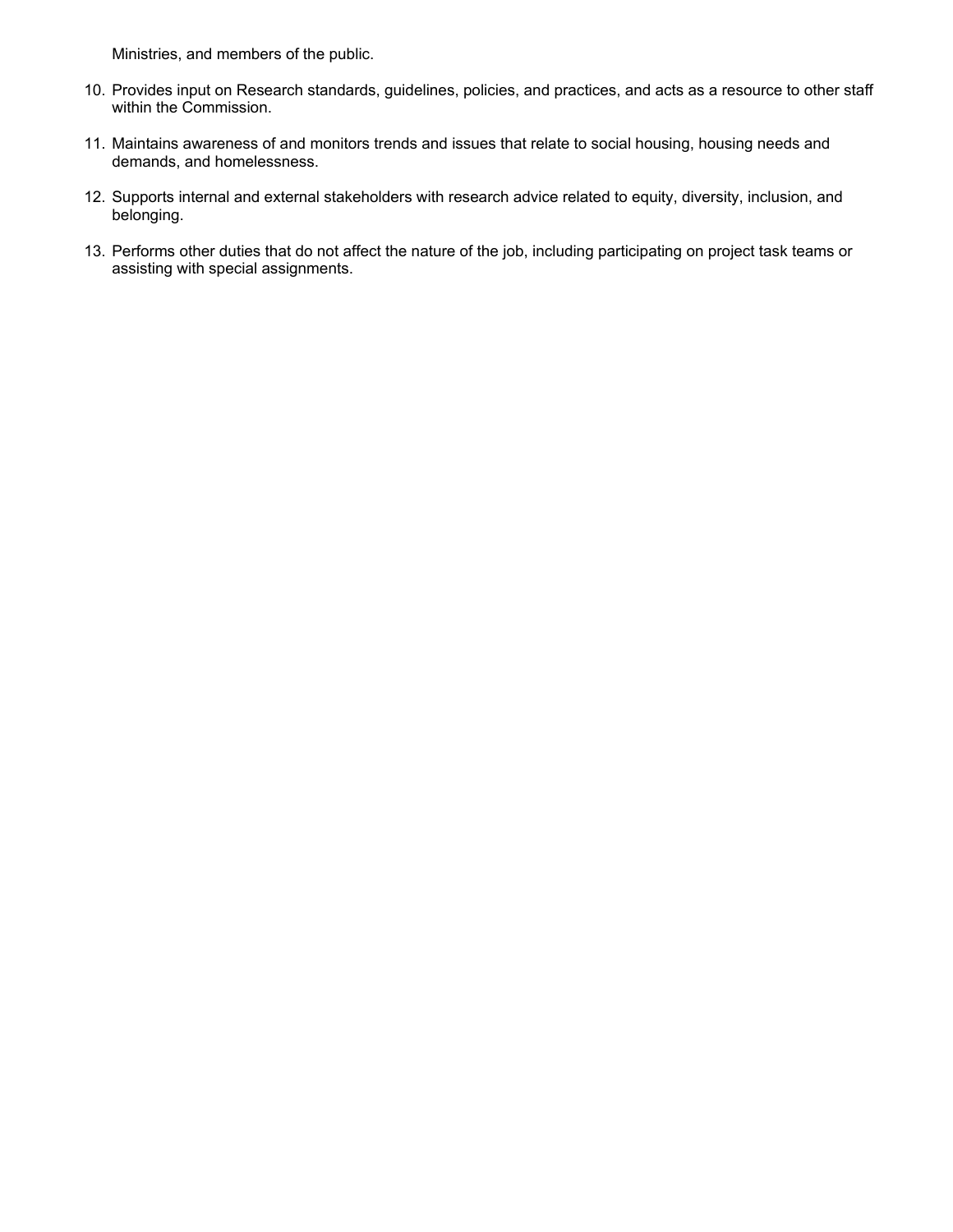Ministries, and members of the public.

- 10. Provides input on Research standards, guidelines, policies, and practices, and acts as a resource to other staff within the Commission.
- 11. Maintains awareness of and monitors trends and issues that relate to social housing, housing needs and demands, and homelessness.
- 12. Supports internal and external stakeholders with research advice related to equity, diversity, inclusion, and belonging.
- 13. Performs other duties that do not affect the nature of the job, including participating on project task teams or assisting with special assignments.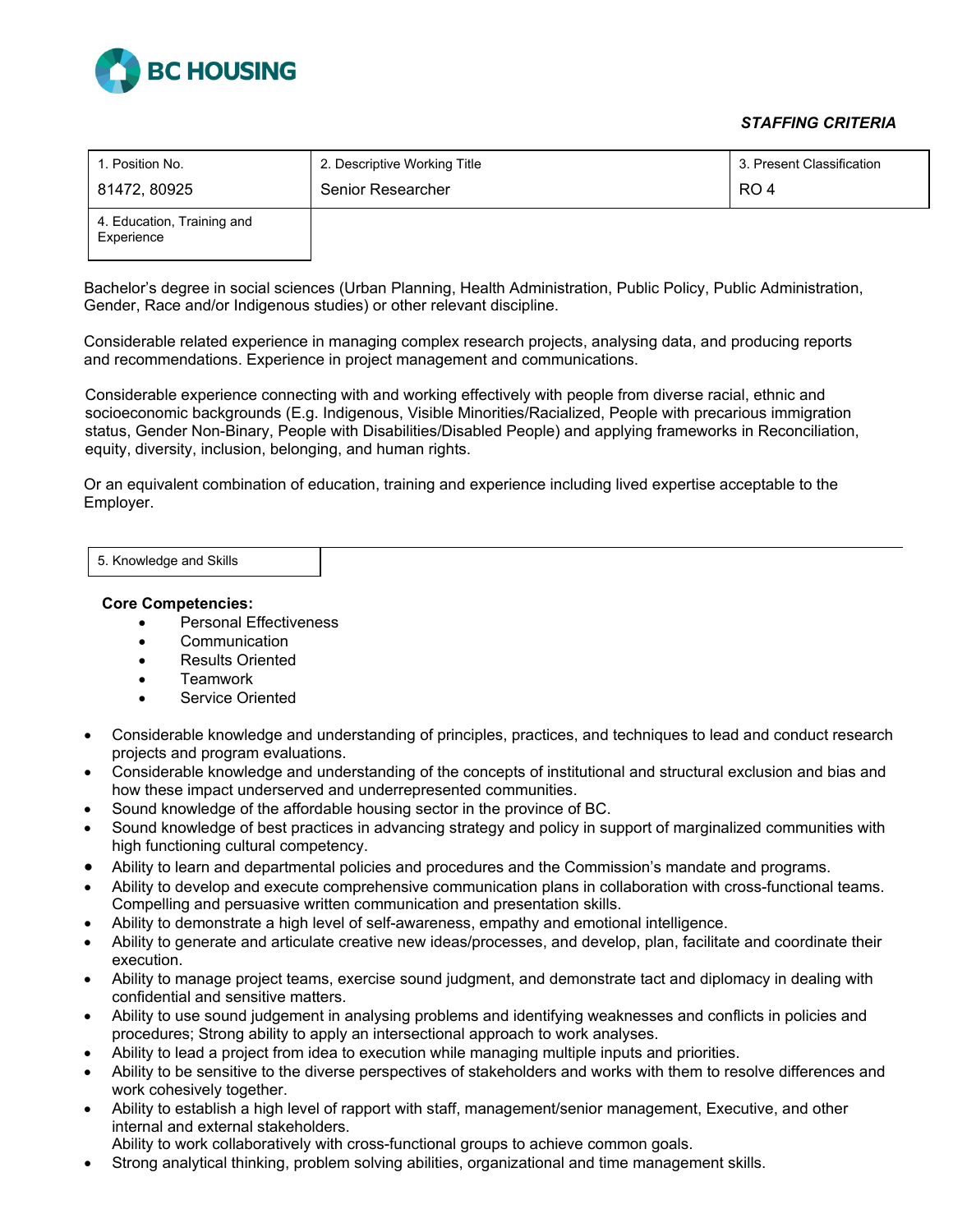

## *STAFFING CRITERIA*

| 1. Position No.                          | 2. Descriptive Working Title | 3. Present Classification |
|------------------------------------------|------------------------------|---------------------------|
| 81472, 80925                             | Senior Researcher            | RO 4                      |
| 4. Education, Training and<br>Experience |                              |                           |

Bachelor's degree in social sciences (Urban Planning, Health Administration, Public Policy, Public Administration, Gender, Race and/or Indigenous studies) or other relevant discipline.

Considerable related experience in managing complex research projects, analysing data, and producing reports and recommendations. Experience in project management and communications.

Considerable experience connecting with and working effectively with people from diverse racial, ethnic and socioeconomic backgrounds (E.g. Indigenous, Visible Minorities/Racialized, People with precarious immigration status, Gender Non-Binary, People with Disabilities/Disabled People) and applying frameworks in Reconciliation, equity, diversity, inclusion, belonging, and human rights.

Or an equivalent combination of education, training and experience including lived expertise acceptable to the Employer.

5. Knowledge and Skills

## **Core Competencies:**

- Personal Effectiveness
- Communication
- Results Oriented
- Teamwork
- Service Oriented
- Considerable knowledge and understanding of principles, practices, and techniques to lead and conduct research projects and program evaluations.
- Considerable knowledge and understanding of the concepts of institutional and structural exclusion and bias and how these impact underserved and underrepresented communities.
- Sound knowledge of the affordable housing sector in the province of BC.
- Sound knowledge of best practices in advancing strategy and policy in support of marginalized communities with high functioning cultural competency.
- Ability to learn and departmental policies and procedures and the Commission's mandate and programs.
- Ability to develop and execute comprehensive communication plans in collaboration with cross-functional teams. Compelling and persuasive written communication and presentation skills.
- Ability to demonstrate a high level of self-awareness, empathy and emotional intelligence.
- Ability to generate and articulate creative new ideas/processes, and develop, plan, facilitate and coordinate their execution.
- Ability to manage project teams, exercise sound judgment, and demonstrate tact and diplomacy in dealing with confidential and sensitive matters.
- Ability to use sound judgement in analysing problems and identifying weaknesses and conflicts in policies and procedures; Strong ability to apply an intersectional approach to work analyses.
- Ability to lead a project from idea to execution while managing multiple inputs and priorities.
- Ability to be sensitive to the diverse perspectives of stakeholders and works with them to resolve differences and work cohesively together.
- Ability to establish a high level of rapport with staff, management/senior management, Executive, and other internal and external stakeholders.
	- Ability to work collaboratively with cross-functional groups to achieve common goals.
- Strong analytical thinking, problem solving abilities, organizational and time management skills.